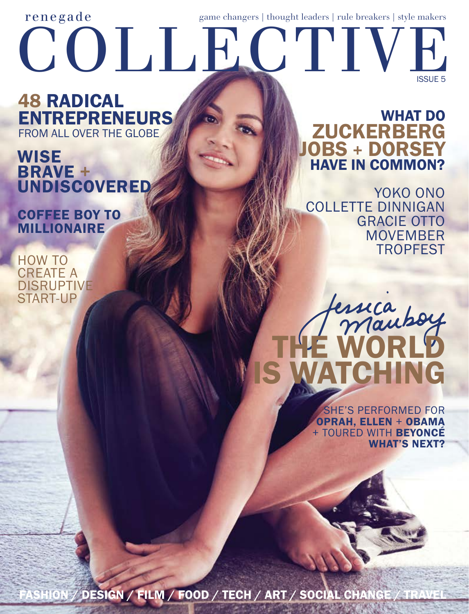## ISSUE 5 COLLECTIVE renegade game changers | thought leaders | rule breakers | style makers

#### **48 RADICAL ENTREPRENEURS** FROM ALL OVER THE GLOBE

### **WISE BRAVE + UNDISCOVERED**

Coffee boy to **MILLIONAIRE** 

How to **CREATE A DISRUPTIVE** start-up

#### have in common? **WHAT DO ZUCKERBERG** JOBS + DORSEY

yoko ono Collette Dinnigan **GRACIE OTTO** MOVEMBER **TROPFEST** 



she's performed for oprah, ellen + obama + TOURED WITH BEYONCE **WHAT'S NEXT?** 

SHION / DESIGN / FILM / FOOD / TECH / ART / SOCIAL CHANGE / TRAVEL